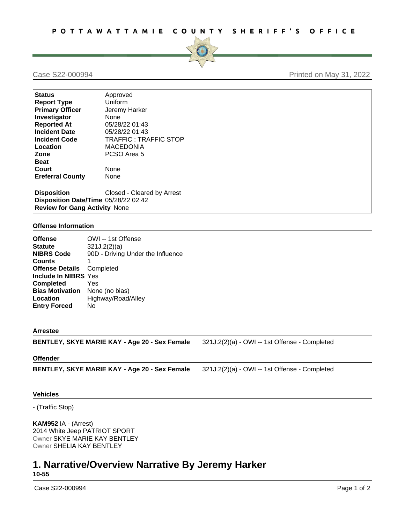

## Case S22-000994 **Printed on May 31, 2022**

| <b>Status</b>                        | Approved                   |  |
|--------------------------------------|----------------------------|--|
| <b>Report Type</b>                   | Uniform                    |  |
| <b>Primary Officer</b>               | Jeremy Harker              |  |
| Investigator                         | None                       |  |
| <b>Reported At</b>                   | 05/28/22 01:43             |  |
| <b>Incident Date</b>                 | 05/28/22 01:43             |  |
| <b>Incident Code</b>                 | TRAFFIC: TRAFFIC STOP      |  |
| Location                             | MACEDONIA                  |  |
| Zone                                 | PCSO Area 5                |  |
| <b>Beat</b>                          |                            |  |
| Court                                | None                       |  |
| <b>Ereferral County</b>              | None                       |  |
| <b>Disposition</b>                   | Closed - Cleared by Arrest |  |
| Disposition Date/Time 05/28/22 02:42 |                            |  |
| <b>Review for Gang Activity None</b> |                            |  |

## **Offense Information**

| <b>Offense</b>         | OWI -- 1st Offense                |
|------------------------|-----------------------------------|
| <b>Statute</b>         | 321J.2(2)(a)                      |
| <b>NIBRS Code</b>      | 90D - Driving Under the Influence |
| <b>Counts</b>          |                                   |
| <b>Offense Details</b> | Completed                         |
| Include In NIBRS Yes   |                                   |
| <b>Completed</b>       | Yes                               |
| <b>Bias Motivation</b> | None (no bias)                    |
| Location               | Highway/Road/Alley                |
| <b>Entry Forced</b>    | No                                |
|                        |                                   |

### **Arrestee**

**BENTLEY, SKYE MARIE KAY - Age 20 - Sex Female** 321J.2(2)(a) - OWI -- 1st Offense - Completed

### **Offender**

**BENTLEY, SKYE MARIE KAY - Age 20 - Sex Female** 321J.2(2)(a) - OWI -- 1st Offense - Completed

### **Vehicles**

- (Traffic Stop)

**KAM952** IA - (Arrest) 2014 White Jeep PATRIOT SPORT Owner SKYE MARIE KAY BENTLEY Owner SHELIA KAY BENTLEY

# **1. Narrative/Overview Narrative By Jeremy Harker 10-55**